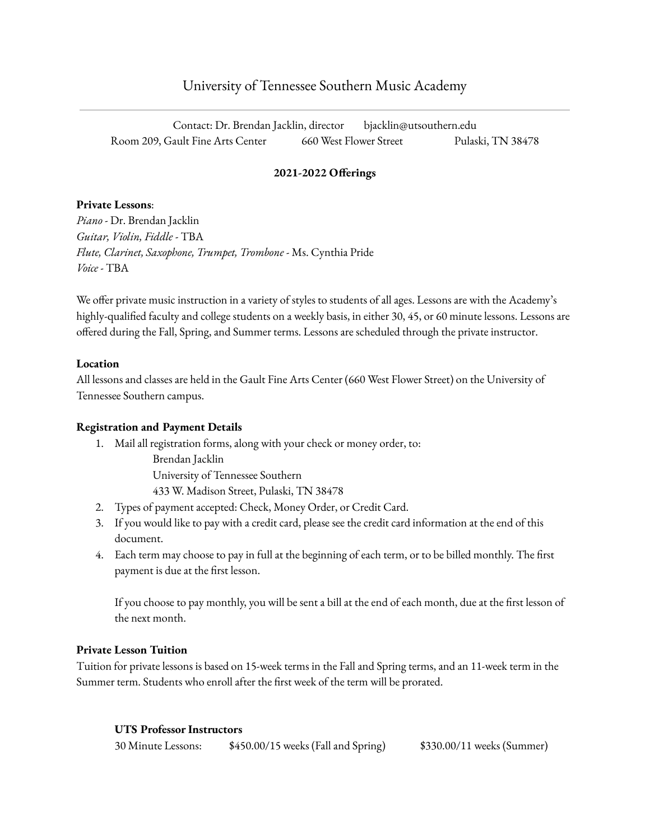# University of Tennessee Southern Music Academy

Contact: Dr. Brendan Jacklin, director bjacklin@utsouthern.edu Room 209, Gault Fine Arts Center 660 West Flower Street Pulaski, TN 38478

## **2021-2022 Offerings**

## **Private Lessons**:

*Piano* - Dr. Brendan Jacklin *Guitar, Violin, Fiddle* - TBA *Flute, Clarinet, Saxophone, Trumpet, Trombone* - Ms. Cynthia Pride *Voice* - TBA

We offer private music instruction in a variety of styles to students of all ages. Lessons are with the Academy's highly-qualified faculty and college students on a weekly basis, in either 30, 45, or 60 minute lessons. Lessons are offered during the Fall, Spring, and Summer terms. Lessons are scheduled through the private instructor.

## **Location**

All lessons and classes are held in the Gault Fine Arts Center (660 West Flower Street) on the University of Tennessee Southern campus.

## **Registration and Payment Details**

1. Mail all registration forms, along with your check or money order, to: Brendan Jacklin

University of Tennessee Southern

433 W. Madison Street, Pulaski, TN 38478

- 2. Types of payment accepted: Check, Money Order, or Credit Card.
- 3. If you would like to pay with a credit card, please see the credit card information at the end of this document.
- 4. Each term may choose to pay in full at the beginning of each term, or to be billed monthly. The first payment is due at the first lesson.

If you choose to pay monthly, you will be sent a bill at the end of each month, due at the first lesson of the next month.

## **Private Lesson Tuition**

Tuition for private lessons is based on 15-week terms in the Fall and Spring terms, and an 11-week term in the Summer term. Students who enroll after the first week of the term will be prorated.

## **UTS Professor Instructors**

| 30 Minute Lessons: | \$450.00/15 weeks (Fall and Spring) | \$330.00/11 weeks (Summer) |
|--------------------|-------------------------------------|----------------------------|
|--------------------|-------------------------------------|----------------------------|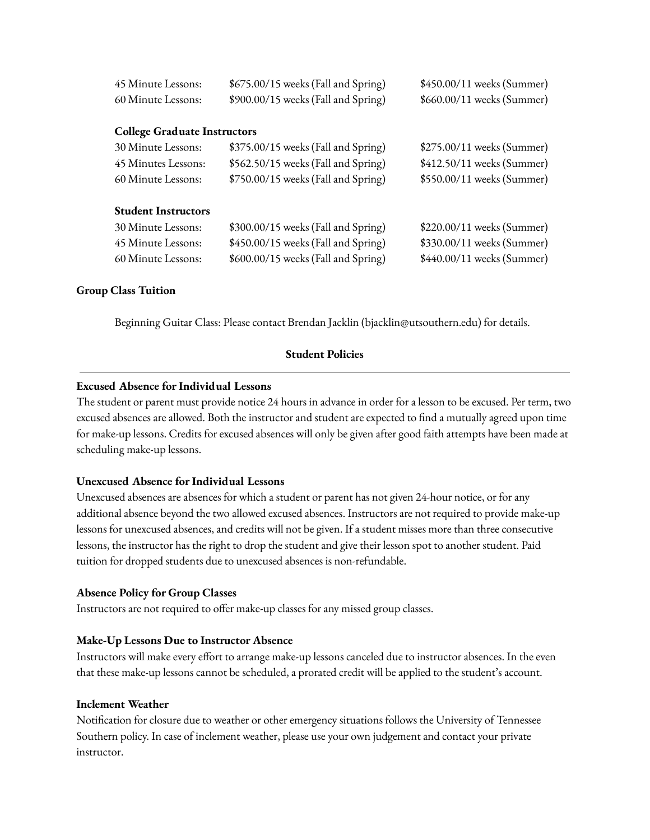| 45 Minute Lessons:                  | \$675.00/15 weeks (Fall and Spring) | \$450.00/11 weeks (Summer) |
|-------------------------------------|-------------------------------------|----------------------------|
| 60 Minute Lessons:                  | \$900.00/15 weeks (Fall and Spring) | \$660.00/11 weeks (Summer) |
|                                     |                                     |                            |
| <b>College Graduate Instructors</b> |                                     |                            |
| 30 Minute Lessons:                  | \$375.00/15 weeks (Fall and Spring) | \$275.00/11 weeks (Summer) |
| 45 Minutes Lessons:                 | \$562.50/15 weeks (Fall and Spring) | \$412.50/11 weeks (Summer) |
| 60 Minute Lessons:                  | \$750.00/15 weeks (Fall and Spring) | \$550.00/11 weeks (Summer) |
|                                     |                                     |                            |
| <b>Student Instructors</b>          |                                     |                            |
| 30 Minute Lessons:                  | \$300.00/15 weeks (Fall and Spring) | \$220.00/11 weeks (Summer) |
| 45 Minute Lessons:                  | \$450.00/15 weeks (Fall and Spring) | \$330.00/11 weeks (Summer) |
| 60 Minute Lessons:                  | \$600.00/15 weeks (Fall and Spring) | \$440.00/11 weeks (Summer) |

## **Group Class Tuition**

Beginning Guitar Class: Please contact Brendan Jacklin (bjacklin@utsouthern.edu) for details.

#### **Student Policies**

#### **Excused Absence for Individual Lessons**

The student or parent must provide notice 24 hours in advance in order for a lesson to be excused. Per term, two excused absences are allowed. Both the instructor and student are expected to find a mutually agreed upon time for make-up lessons. Credits for excused absences will only be given after good faith attempts have been made at scheduling make-up lessons.

#### **Unexcused Absence for Individual Lessons**

Unexcused absences are absences for which a student or parent has not given 24-hour notice, or for any additional absence beyond the two allowed excused absences. Instructors are not required to provide make-up lessons for unexcused absences, and credits will not be given. If a student misses more than three consecutive lessons, the instructor has the right to drop the student and give their lesson spot to another student. Paid tuition for dropped students due to unexcused absences is non-refundable.

#### **Absence Policy for Group Classes**

Instructors are not required to offer make-up classes for any missed group classes.

#### **Make-Up Lessons Due to Instructor Absence**

Instructors will make every effort to arrange make-up lessons canceled due to instructor absences. In the even that these make-up lessons cannot be scheduled, a prorated credit will be applied to the student's account.

#### **Inclement Weather**

Notification for closure due to weather or other emergency situations follows the University of Tennessee Southern policy. In case of inclement weather, please use your own judgement and contact your private instructor.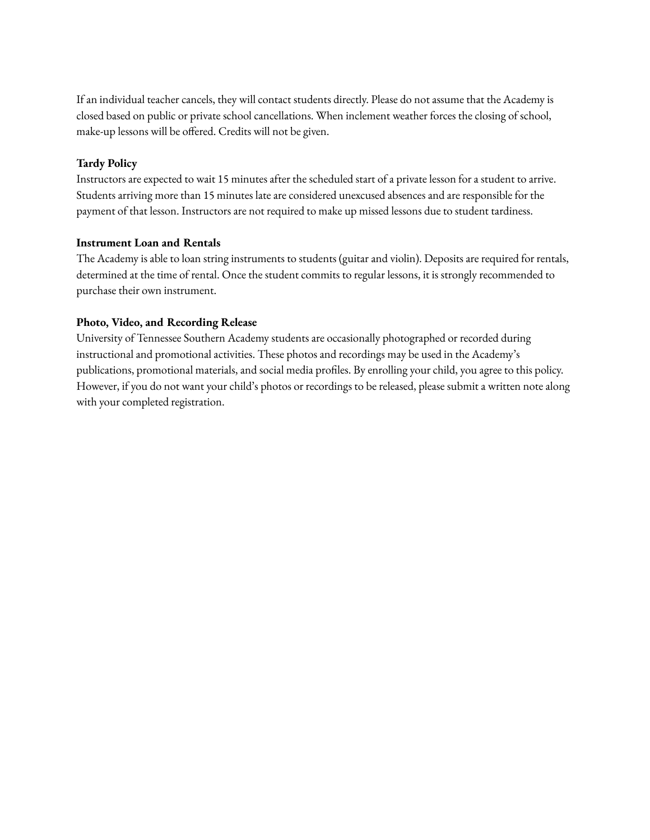If an individual teacher cancels, they will contact students directly. Please do not assume that the Academy is closed based on public or private school cancellations. When inclement weather forces the closing of school, make-up lessons will be offered. Credits will not be given.

## **Tardy Policy**

Instructors are expected to wait 15 minutes after the scheduled start of a private lesson for a student to arrive. Students arriving more than 15 minutes late are considered unexcused absences and are responsible for the payment of that lesson. Instructors are not required to make up missed lessons due to student tardiness.

## **Instrument Loan and Rentals**

The Academy is able to loan string instruments to students (guitar and violin). Deposits are required for rentals, determined at the time of rental. Once the student commits to regular lessons, it is strongly recommended to purchase their own instrument.

## **Photo, Video, and Recording Release**

University of Tennessee Southern Academy students are occasionally photographed or recorded during instructional and promotional activities. These photos and recordings may be used in the Academy's publications, promotional materials, and social media profiles. By enrolling your child, you agree to this policy. However, if you do not want your child's photos or recordings to be released, please submit a written note along with your completed registration.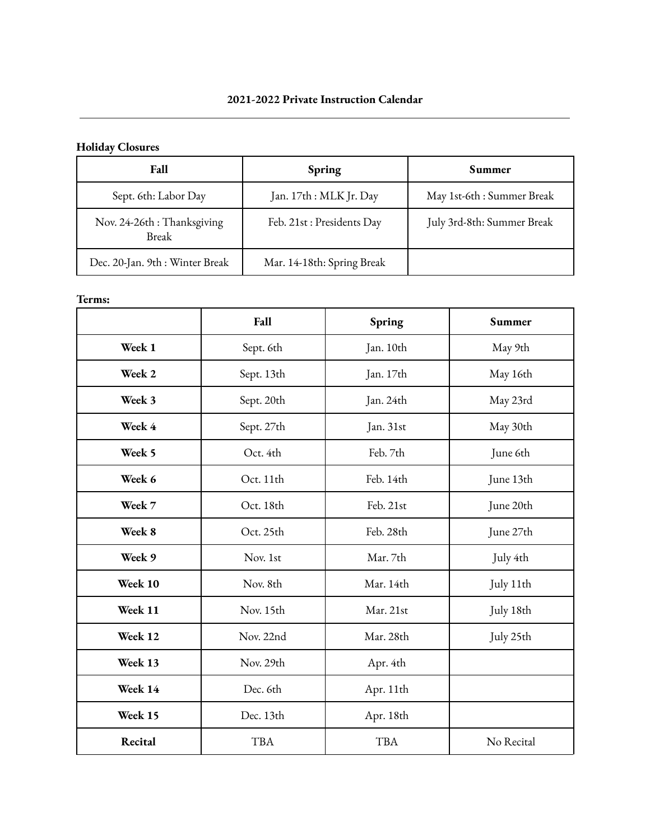# **Holiday Closures**

| <b>Fall</b>                         | Spring                     | Summer                     |
|-------------------------------------|----------------------------|----------------------------|
| Sept. 6th: Labor Day                | Jan. 17th : MLK Jr. Day    | May 1st-6th : Summer Break |
| Nov. 24-26th: Thanksgiving<br>Break | Feb. 21st : Presidents Day | July 3rd-8th: Summer Break |
| Dec. 20-Jan. 9th : Winter Break     | Mar. 14-18th: Spring Break |                            |

## **Terms:**

|         | Fall       | Spring     | Summer     |
|---------|------------|------------|------------|
| Week 1  | Sept. 6th  | Jan. 10th  | May 9th    |
| Week 2  | Sept. 13th | Jan. 17th  | May 16th   |
| Week 3  | Sept. 20th | Jan. 24th  | May 23rd   |
| Week 4  | Sept. 27th | Jan. 31st  | May 30th   |
| Week 5  | Oct. 4th   | Feb. 7th   | June 6th   |
| Week 6  | Oct. 11th  | Feb. 14th  | June 13th  |
| Week 7  | Oct. 18th  | Feb. 21st  | June 20th  |
| Week 8  | Oct. 25th  | Feb. 28th  | June 27th  |
| Week 9  | Nov. 1st   | Mar. 7th   | July 4th   |
| Week 10 | Nov. 8th   | Mar. 14th  | July 11th  |
| Week 11 | Nov. 15th  | Mar. 21st  | July 18th  |
| Week 12 | Nov. 22nd  | Mar. 28th  | July 25th  |
| Week 13 | Nov. 29th  | Apr. 4th   |            |
| Week 14 | Dec. 6th   | Apr. 11th  |            |
| Week 15 | Dec. 13th  | Apr. 18th  |            |
| Recital | <b>TBA</b> | <b>TBA</b> | No Recital |